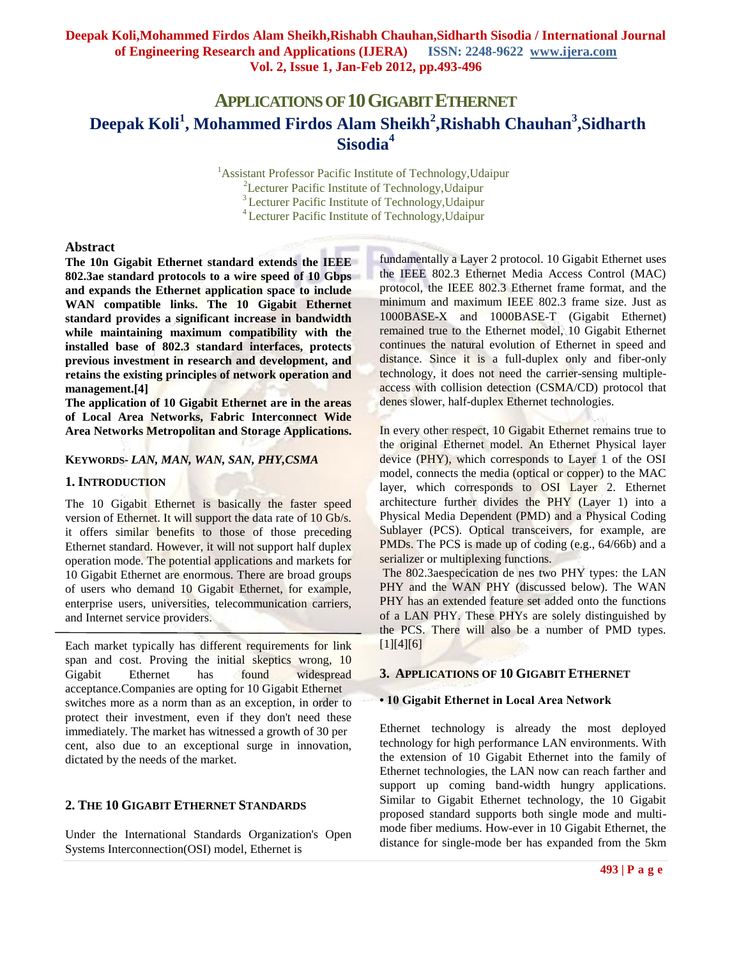# **APPLICATIONS OF 10GIGABITETHERNET Deepak Koli<sup>1</sup> , Mohammed Firdos Alam Sheikh<sup>2</sup> ,Rishabh Chauhan<sup>3</sup> ,Sidharth Sisodia<sup>4</sup>**

<sup>1</sup> Assistant Professor Pacific Institute of Technology, Udaipur <sup>2</sup>Lecturer Pacific Institute of Technology, Udaipur <sup>3</sup>Lecturer Pacific Institute of Technology, Udaipur <sup>4</sup>Lecturer Pacific Institute of Technology,Udaipur

### **Abstract**

**The 10n Gigabit Ethernet standard extends the IEEE 802.3ae standard protocols to a wire speed of 10 Gbps and expands the Ethernet application space to include WAN compatible links. The 10 Gigabit Ethernet standard provides a significant increase in bandwidth while maintaining maximum compatibility with the installed base of 802.3 standard interfaces, protects previous investment in research and development, and retains the existing principles of network operation and management.[4]**

**The application of 10 Gigabit Ethernet are in the areas of Local Area Networks, Fabric Interconnect Wide Area Networks Metropolitan and Storage Applications.**

## **KEYWORDS***- LAN, MAN, WAN, SAN, PHY,CSMA*

#### **1. INTRODUCTION**

The 10 Gigabit Ethernet is basically the faster speed version of Ethernet. It will support the data rate of 10 Gb/s. it offers similar benefits to those of those preceding Ethernet standard. However, it will not support half duplex operation mode. The potential applications and markets for 10 Gigabit Ethernet are enormous. There are broad groups of users who demand 10 Gigabit Ethernet, for example, enterprise users, universities, telecommunication carriers, and Internet service providers.

Each market typically has different requirements for link span and cost. Proving the initial skeptics wrong, 10 Gigabit Ethernet has found widespread acceptance.Companies are opting for 10 Gigabit Ethernet switches more as a norm than as an exception, in order to protect their investment, even if they don't need these immediately. The market has witnessed a growth of 30 per cent, also due to an exceptional surge in innovation, dictated by the needs of the market.

### **2. THE 10 GIGABIT ETHERNET STANDARDS**

Under the International Standards Organization's Open Systems Interconnection(OSI) model, Ethernet is

fundamentally a Layer 2 protocol. 10 Gigabit Ethernet uses the IEEE 802.3 Ethernet Media Access Control (MAC) protocol, the IEEE 802.3 Ethernet frame format, and the minimum and maximum IEEE 802.3 frame size. Just as 1000BASE-X and 1000BASE-T (Gigabit Ethernet) remained true to the Ethernet model, 10 Gigabit Ethernet continues the natural evolution of Ethernet in speed and distance. Since it is a full-duplex only and fiber-only technology, it does not need the carrier-sensing multipleaccess with collision detection (CSMA/CD) protocol that denes slower, half-duplex Ethernet technologies.

In every other respect, 10 Gigabit Ethernet remains true to the original Ethernet model. An Ethernet Physical layer device (PHY), which corresponds to Layer 1 of the OSI model, connects the media (optical or copper) to the MAC layer, which corresponds to OSI Layer 2. Ethernet architecture further divides the PHY (Layer 1) into a Physical Media Dependent (PMD) and a Physical Coding Sublayer (PCS). Optical transceivers, for example, are PMDs. The PCS is made up of coding (e.g., 64/66b) and a serializer or multiplexing functions.

The 802.3aespecication de nes two PHY types: the LAN PHY and the WAN PHY (discussed below). The WAN PHY has an extended feature set added onto the functions of a LAN PHY. These PHYs are solely distinguished by the PCS. There will also be a number of PMD types. [1][4][6]

#### **3. APPLICATIONS OF 10 GIGABIT ETHERNET**

#### **• 10 Gigabit Ethernet in Local Area Network**

Ethernet technology is already the most deployed technology for high performance LAN environments. With the extension of 10 Gigabit Ethernet into the family of Ethernet technologies, the LAN now can reach farther and support up coming band-width hungry applications. Similar to Gigabit Ethernet technology, the 10 Gigabit proposed standard supports both single mode and multimode fiber mediums. How-ever in 10 Gigabit Ethernet, the distance for single-mode ber has expanded from the 5km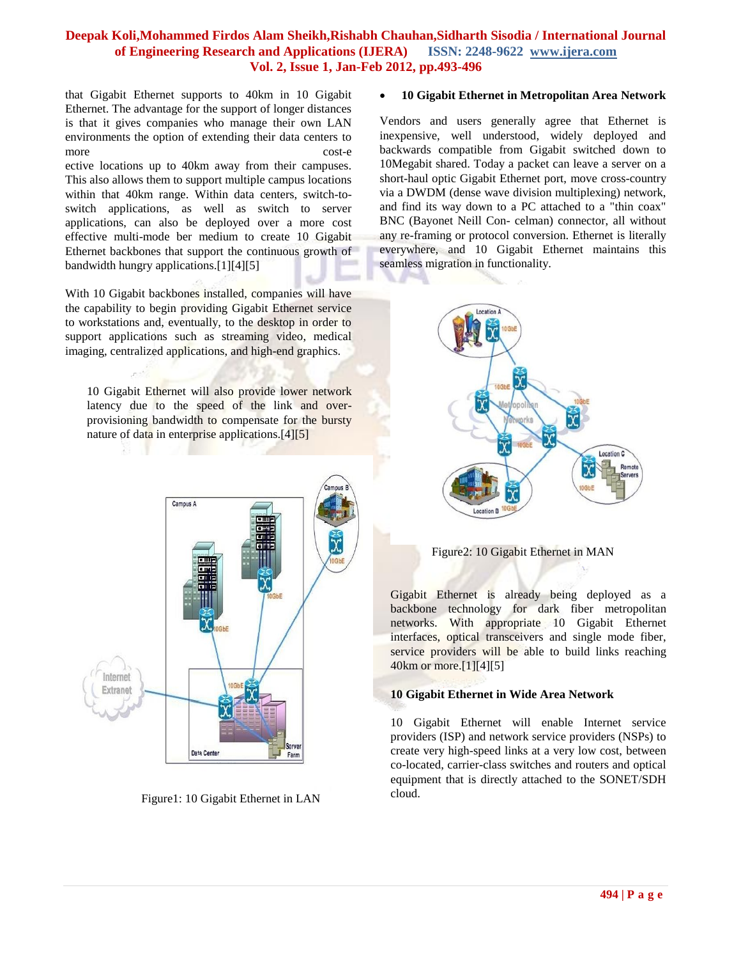that Gigabit Ethernet supports to 40km in 10 Gigabit Ethernet. The advantage for the support of longer distances is that it gives companies who manage their own LAN environments the option of extending their data centers to more cost-e

ective locations up to 40km away from their campuses. This also allows them to support multiple campus locations within that 40km range. Within data centers, switch-toswitch applications, as well as switch to server applications, can also be deployed over a more cost effective multi-mode ber medium to create 10 Gigabit Ethernet backbones that support the continuous growth of bandwidth hungry applications.[1][4][5]

With 10 Gigabit backbones installed, companies will have the capability to begin providing Gigabit Ethernet service to workstations and, eventually, to the desktop in order to support applications such as streaming video, medical imaging, centralized applications, and high-end graphics.

10 Gigabit Ethernet will also provide lower network latency due to the speed of the link and overprovisioning bandwidth to compensate for the bursty nature of data in enterprise applications.<sup>[4][5]</sup>



Figure1: 10 Gigabit Ethernet in LAN

#### **10 Gigabit Ethernet in Metropolitan Area Network**

Vendors and users generally agree that Ethernet is inexpensive, well understood, widely deployed and backwards compatible from Gigabit switched down to 10Megabit shared. Today a packet can leave a server on a short-haul optic Gigabit Ethernet port, move cross-country via a DWDM (dense wave division multiplexing) network, and find its way down to a PC attached to a "thin coax" BNC (Bayonet Neill Con- celman) connector, all without any re-framing or protocol conversion. Ethernet is literally everywhere, and 10 Gigabit Ethernet maintains this seamless migration in functionality.



Figure2: 10 Gigabit Ethernet in MAN

Gigabit Ethernet is already being deployed as a backbone technology for dark fiber metropolitan networks. With appropriate 10 Gigabit Ethernet interfaces, optical transceivers and single mode fiber, service providers will be able to build links reaching 40km or more.[1][4][5]

## **10 Gigabit Ethernet in Wide Area Network**

10 Gigabit Ethernet will enable Internet service providers (ISP) and network service providers (NSPs) to create very high-speed links at a very low cost, between co-located, carrier-class switches and routers and optical equipment that is directly attached to the SONET/SDH cloud.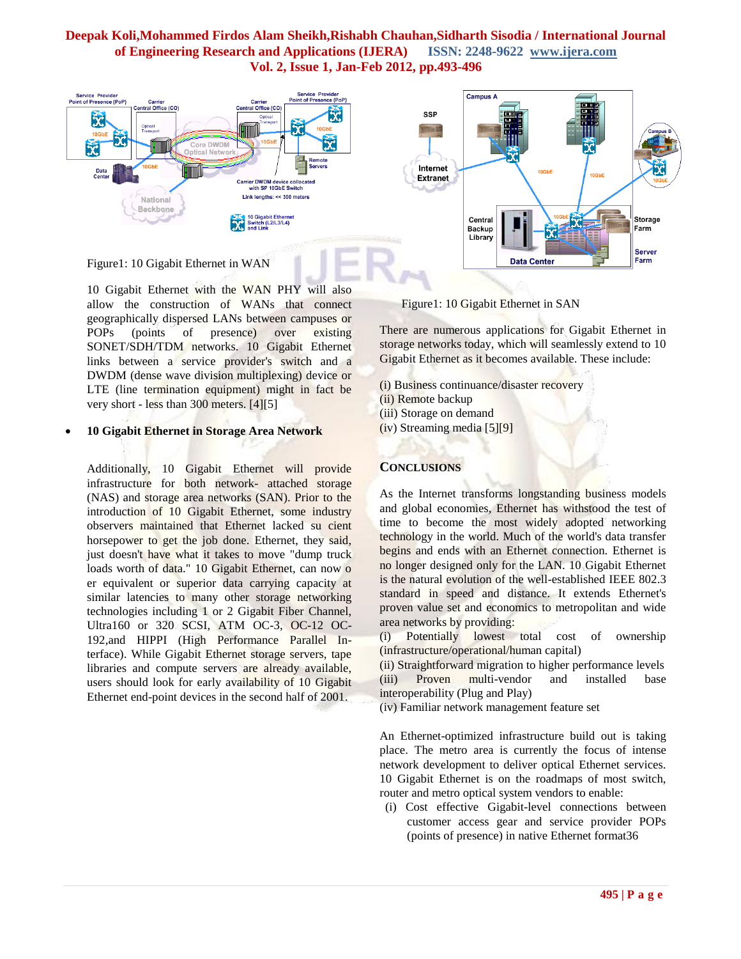

10 Gigabit Ethernet with the WAN PHY will also allow the construction of WANs that connect geographically dispersed LANs between campuses or POPs (points of presence) over existing SONET/SDH/TDM networks. 10 Gigabit Ethernet links between a service provider's switch and a DWDM (dense wave division multiplexing) device or LTE (line termination equipment) might in fact be very short - less than 300 meters. [4][5]

## **10 Gigabit Ethernet in Storage Area Network**

Additionally, 10 Gigabit Ethernet will provide infrastructure for both network- attached storage (NAS) and storage area networks (SAN). Prior to the introduction of 10 Gigabit Ethernet, some industry observers maintained that Ethernet lacked su cient horsepower to get the job done. Ethernet, they said, just doesn't have what it takes to move "dump truck" loads worth of data." 10 Gigabit Ethernet, can now o er equivalent or superior data carrying capacity at similar latencies to many other storage networking technologies including 1 or 2 Gigabit Fiber Channel, Ultra160 or 320 SCSI, ATM OC-3, OC-12 OC-192,and HIPPI (High Performance Parallel Interface). While Gigabit Ethernet storage servers, tape libraries and compute servers are already available, users should look for early availability of 10 Gigabit Ethernet end-point devices in the second half of 2001.

Figure1: 10 Gigabit Ethernet in SAN

There are numerous applications for Gigabit Ethernet in storage networks today, which will seamlessly extend to 10 Gigabit Ethernet as it becomes available. These include:

- (i) Business continuance/disaster recovery
- (ii) Remote backup
- (iii) Storage on demand
- (iv) Streaming media [5][9]

# **CONCLUSIONS**

As the Internet transforms longstanding business models and global economies, Ethernet has withstood the test of time to become the most widely adopted networking technology in the world. Much of the world's data transfer begins and ends with an Ethernet connection. Ethernet is no longer designed only for the LAN. 10 Gigabit Ethernet is the natural evolution of the well-established IEEE 802.3 standard in speed and distance. It extends Ethernet's proven value set and economics to metropolitan and wide area networks by providing:

(i) Potentially lowest total cost of ownership (infrastructure/operational/human capital)

(ii) Straightforward migration to higher performance levels (iii) Proven multi-vendor and installed base interoperability (Plug and Play)

(iv) Familiar network management feature set

An Ethernet-optimized infrastructure build out is taking place. The metro area is currently the focus of intense network development to deliver optical Ethernet services. 10 Gigabit Ethernet is on the roadmaps of most switch, router and metro optical system vendors to enable:

(i) Cost effective Gigabit-level connections between customer access gear and service provider POPs (points of presence) in native Ethernet format36